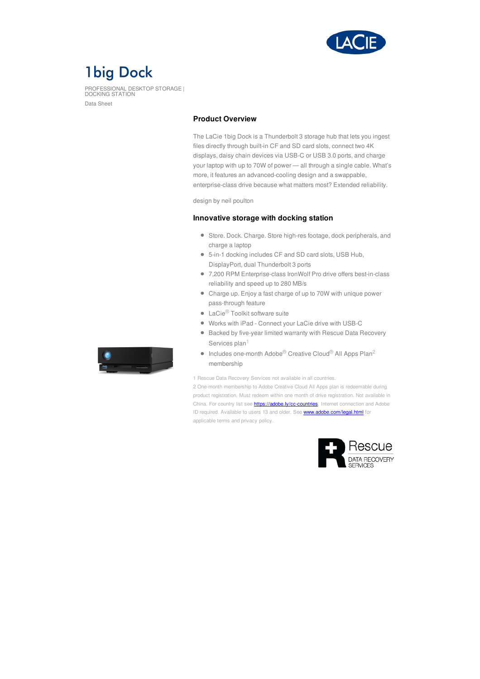

# **1big Dock**

PROFESSIONAL DESKTOP STORAGE | DOCKING STATION Data Sheet

## **Product Overview**

The LaCie 1big Dock is a Thunderbolt 3 storage hub that lets you ingest files directly through built-in CF and SD card slots, connect two 4K displays, daisy chain devices via USB-C or USB 3.0 ports, and charge your laptop with up to 70W of power — all through a single cable. What's more, it features an advanced-cooling design and a swappable, enterprise-class drive because what matters most? Extended reliability.

design by neil poulton

### **Innovative storage with docking station**

- Store. Dock. Charge. Store high-res footage, dock peripherals, and charge a laptop
- 5-in-1 docking includes CF and SD card slots, USB Hub, DisplayPort, dual Thunderbolt 3 ports
- 7,200 RPM Enterprise-class IronWolf Pro drive offers best-in-class reliability and speed up to 280 MB/s
- Charge up. Enjoy a fast charge of up to 70W with unique power pass-through feature
- LaCie<sup>®</sup> Toolkit software suite
- Works with iPad Connect your LaCie drive with USB-C
- Backed by five-year limited warranty with Rescue Data Recovery Services plan<sup>1</sup>
- Includes one-month Adobe<sup>®</sup> Creative Cloud<sup>®</sup> All Apps Plan<sup>2</sup> membership

1 Rescue Data Recovery Services not available in all countries.

2 One-month membership to Adobe Creative Cloud All Apps plan is redeemable during product registration. Must redeem within one month of drive registration. Not available in China. For country list see **<https://adobe.ly/cc-countries>**. Internet connection and Adobe ID required. Available to users 13 and older. See <www.adobe.com/legal.html> for applicable terms and privacy policy.